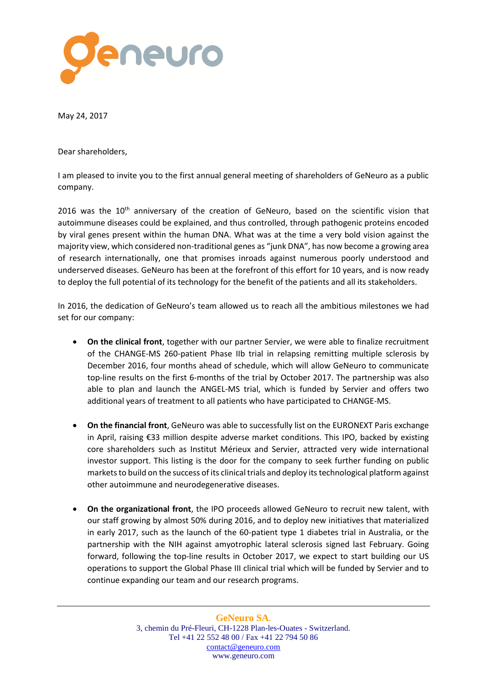

May 24, 2017

Dear shareholders,

I am pleased to invite you to the first annual general meeting of shareholders of GeNeuro as a public company.

2016 was the  $10<sup>th</sup>$  anniversary of the creation of GeNeuro, based on the scientific vision that autoimmune diseases could be explained, and thus controlled, through pathogenic proteins encoded by viral genes present within the human DNA. What was at the time a very bold vision against the majority view, which considered non-traditional genes as "junk DNA", has now become a growing area of research internationally, one that promises inroads against numerous poorly understood and underserved diseases. GeNeuro has been at the forefront of this effort for 10 years, and is now ready to deploy the full potential of its technology for the benefit of the patients and all its stakeholders.

In 2016, the dedication of GeNeuro's team allowed us to reach all the ambitious milestones we had set for our company:

- **On the clinical front**, together with our partner Servier, we were able to finalize recruitment of the CHANGE-MS 260-patient Phase IIb trial in relapsing remitting multiple sclerosis by December 2016, four months ahead of schedule, which will allow GeNeuro to communicate top-line results on the first 6-months of the trial by October 2017. The partnership was also able to plan and launch the ANGEL-MS trial, which is funded by Servier and offers two additional years of treatment to all patients who have participated to CHANGE-MS.
- **On the financial front**, GeNeuro was able to successfully list on the EURONEXT Paris exchange in April, raising €33 million despite adverse market conditions. This IPO, backed by existing core shareholders such as Institut Mérieux and Servier, attracted very wide international investor support. This listing is the door for the company to seek further funding on public markets to build on the success of its clinical trials and deploy itstechnological platform against other autoimmune and neurodegenerative diseases.
- **On the organizational front**, the IPO proceeds allowed GeNeuro to recruit new talent, with our staff growing by almost 50% during 2016, and to deploy new initiatives that materialized in early 2017, such as the launch of the 60-patient type 1 diabetes trial in Australia, or the partnership with the NIH against amyotrophic lateral sclerosis signed last February. Going forward, following the top-line results in October 2017, we expect to start building our US operations to support the Global Phase III clinical trial which will be funded by Servier and to continue expanding our team and our research programs.